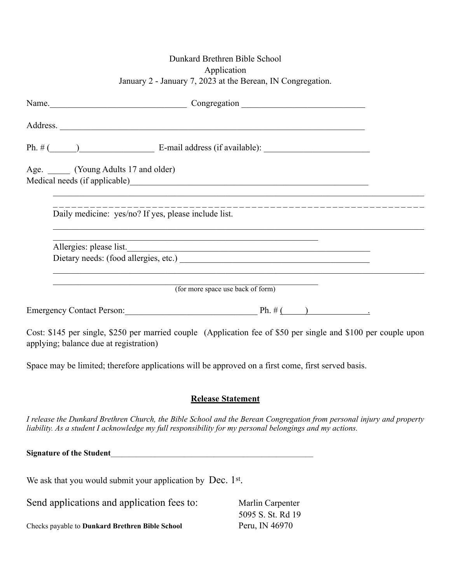| Dunkard Brethren Bible School                               |  |  |
|-------------------------------------------------------------|--|--|
| Application                                                 |  |  |
| January 2 - January 7, 2023 at the Berean, IN Congregation. |  |  |

|                                                                                                                                                             | Address.                                                                                                |                                                                                                                       |
|-------------------------------------------------------------------------------------------------------------------------------------------------------------|---------------------------------------------------------------------------------------------------------|-----------------------------------------------------------------------------------------------------------------------|
|                                                                                                                                                             | Ph. $\#$ ( $\qquad$ ) E-mail address (if available):                                                    |                                                                                                                       |
|                                                                                                                                                             | Age. (Young Adults 17 and older)                                                                        |                                                                                                                       |
|                                                                                                                                                             | Daily medicine: yes/no? If yes, please include list.                                                    |                                                                                                                       |
|                                                                                                                                                             | Allergies: please list.                                                                                 | ,我们也不能在这里的时候,我们也不能在这里的时候,我们也不能不能不能不能不能不能不能不能不能不能不能不能不能不能不能。""我们的是我们的,我们也不能不能不能不能                                      |
| <u> 1989 - Johann Stoff, deutscher Stoffen und der Stoffen und der Stoffen und der Stoffen und der Stoffen und der</u><br>(for more space use back of form) |                                                                                                         |                                                                                                                       |
|                                                                                                                                                             | Emergency Contact Person: Ph. # (2008)                                                                  |                                                                                                                       |
|                                                                                                                                                             | applying; balance due at registration)                                                                  | Cost: \$145 per single, \$250 per married couple (Application fee of \$50 per single and \$100 per couple upon        |
|                                                                                                                                                             | Space may be limited; therefore applications will be approved on a first come, first served basis.      |                                                                                                                       |
|                                                                                                                                                             |                                                                                                         | <b>Release Statement</b>                                                                                              |
|                                                                                                                                                             | liability. As a student I acknowledge my full responsibility for my personal belongings and my actions. | I release the Dunkard Brethren Church, the Bible School and the Berean Congregation from personal injury and property |
|                                                                                                                                                             | <b>Signature of the Student</b>                                                                         |                                                                                                                       |
|                                                                                                                                                             | We ask that you would submit your application by Dec. 1st.                                              |                                                                                                                       |
|                                                                                                                                                             | Send applications and application fees to:                                                              | Marlin Carpenter<br>5095 S. St. Rd 19                                                                                 |
|                                                                                                                                                             | Checks payable to Dunkard Brethren Bible School                                                         | Peru, IN 46970                                                                                                        |